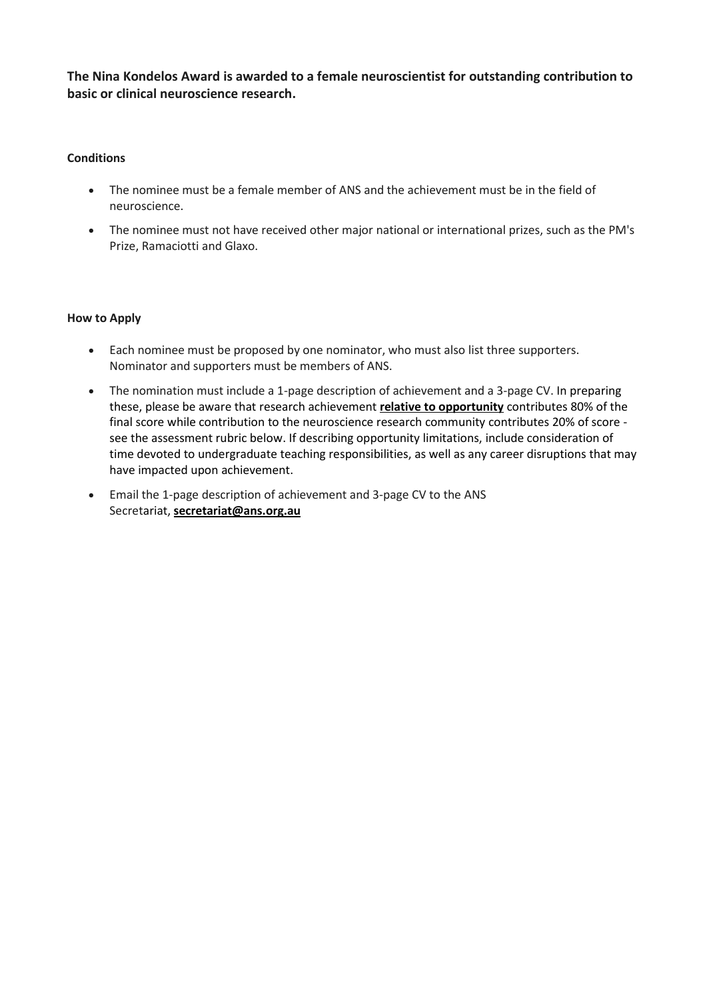**The Nina Kondelos Award is awarded to a female neuroscientist for outstanding contribution to basic or clinical neuroscience research.** 

## **Conditions**

- The nominee must be a female member of ANS and the achievement must be in the field of neuroscience.
- The nominee must not have received other major national or international prizes, such as the PM's Prize, Ramaciotti and Glaxo.

## **How to Apply**

- Each nominee must be proposed by one nominator, who must also list three supporters. Nominator and supporters must be members of ANS.
- The nomination must include a 1-page description of achievement and a 3-page CV. In preparing these, please be aware that research achievement **relative to opportunity** contributes 80% of the final score while contribution to the neuroscience research community contributes 20% of score see the assessment rubric below. If describing opportunity limitations, include consideration of time devoted to undergraduate teaching responsibilities, as well as any career disruptions that may have impacted upon achievement.
- Email the 1-page description of achievement and 3-page CV to the ANS Secretariat, **[secretariat@ans.org.au](mailto:secretariat@ans.org.au)**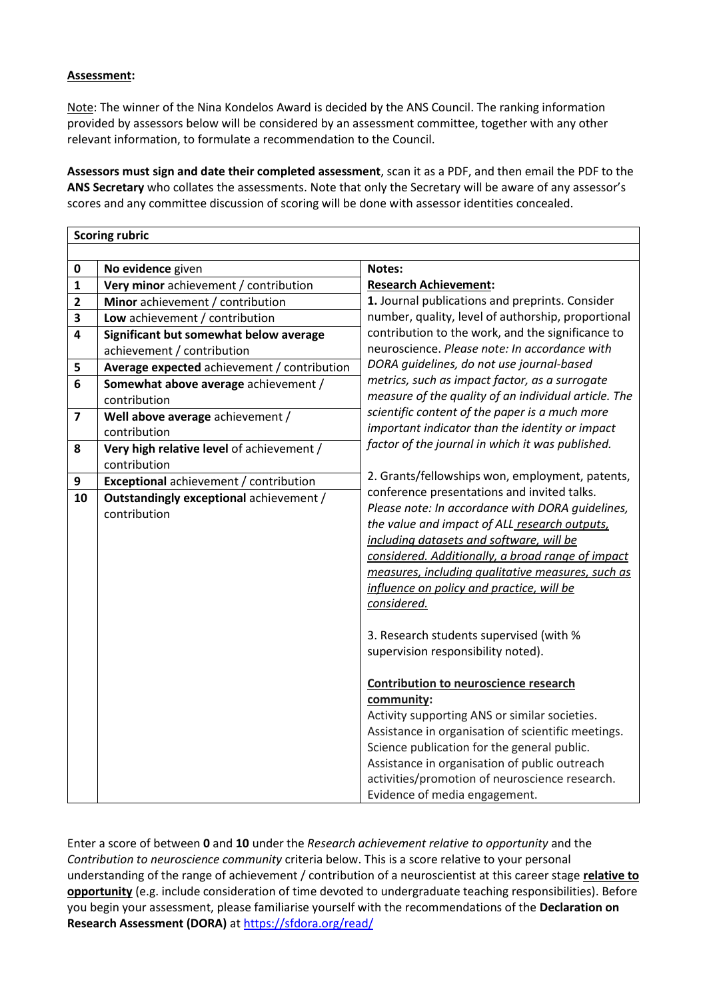## **Assessment:**

Note: The winner of the Nina Kondelos Award is decided by the ANS Council. The ranking information provided by assessors below will be considered by an assessment committee, together with any other relevant information, to formulate a recommendation to the Council.

**Assessors must sign and date their completed assessment**, scan it as a PDF, and then email the PDF to the **ANS Secretary** who collates the assessments. Note that only the Secretary will be aware of any assessor's scores and any committee discussion of scoring will be done with assessor identities concealed.

|                         | <b>Scoring rubric</b>                       |                                                                                                 |  |  |  |  |
|-------------------------|---------------------------------------------|-------------------------------------------------------------------------------------------------|--|--|--|--|
|                         |                                             |                                                                                                 |  |  |  |  |
| $\mathbf 0$             | No evidence given                           | Notes:                                                                                          |  |  |  |  |
| $\mathbf{1}$            | Very minor achievement / contribution       | <b>Research Achievement:</b>                                                                    |  |  |  |  |
| $\overline{\mathbf{2}}$ | Minor achievement / contribution            | 1. Journal publications and preprints. Consider                                                 |  |  |  |  |
| 3                       | Low achievement / contribution              | number, quality, level of authorship, proportional                                              |  |  |  |  |
| 4                       | Significant but somewhat below average      | contribution to the work, and the significance to                                               |  |  |  |  |
|                         | achievement / contribution                  | neuroscience. Please note: In accordance with                                                   |  |  |  |  |
| 5                       | Average expected achievement / contribution | DORA quidelines, do not use journal-based                                                       |  |  |  |  |
| 6                       | Somewhat above average achievement /        | metrics, such as impact factor, as a surrogate                                                  |  |  |  |  |
|                         | contribution                                | measure of the quality of an individual article. The                                            |  |  |  |  |
| $\overline{7}$          | Well above average achievement /            | scientific content of the paper is a much more                                                  |  |  |  |  |
|                         | contribution                                | important indicator than the identity or impact                                                 |  |  |  |  |
| 8                       | Very high relative level of achievement /   | factor of the journal in which it was published.                                                |  |  |  |  |
|                         | contribution                                |                                                                                                 |  |  |  |  |
| 9                       | Exceptional achievement / contribution      | 2. Grants/fellowships won, employment, patents,                                                 |  |  |  |  |
| 10                      | Outstandingly exceptional achievement /     | conference presentations and invited talks.<br>Please note: In accordance with DORA guidelines, |  |  |  |  |
|                         | contribution                                | the value and impact of ALL research outputs,                                                   |  |  |  |  |
|                         |                                             | including datasets and software, will be                                                        |  |  |  |  |
|                         |                                             | considered. Additionally, a broad range of impact                                               |  |  |  |  |
|                         |                                             | measures, including qualitative measures, such as                                               |  |  |  |  |
|                         |                                             | influence on policy and practice, will be                                                       |  |  |  |  |
|                         |                                             | considered.                                                                                     |  |  |  |  |
|                         |                                             |                                                                                                 |  |  |  |  |
|                         |                                             | 3. Research students supervised (with %                                                         |  |  |  |  |
|                         |                                             | supervision responsibility noted).                                                              |  |  |  |  |
|                         |                                             | <b>Contribution to neuroscience research</b>                                                    |  |  |  |  |
|                         |                                             | community:                                                                                      |  |  |  |  |
|                         |                                             | Activity supporting ANS or similar societies.                                                   |  |  |  |  |
|                         |                                             | Assistance in organisation of scientific meetings.                                              |  |  |  |  |
|                         |                                             | Science publication for the general public.                                                     |  |  |  |  |
|                         |                                             | Assistance in organisation of public outreach                                                   |  |  |  |  |
|                         |                                             | activities/promotion of neuroscience research.                                                  |  |  |  |  |
|                         |                                             | Evidence of media engagement.                                                                   |  |  |  |  |

Enter a score of between **0** and **10** under the *Research achievement relative to opportunity* and the *Contribution to neuroscience community* criteria below. This is a score relative to your personal understanding of the range of achievement / contribution of a neuroscientist at this career stage **relative to opportunity** (e.g. include consideration of time devoted to undergraduate teaching responsibilities). Before you begin your assessment, please familiarise yourself with the recommendations of the **Declaration on**  Research Assessment (DORA) at<https://sfdora.org/read/>